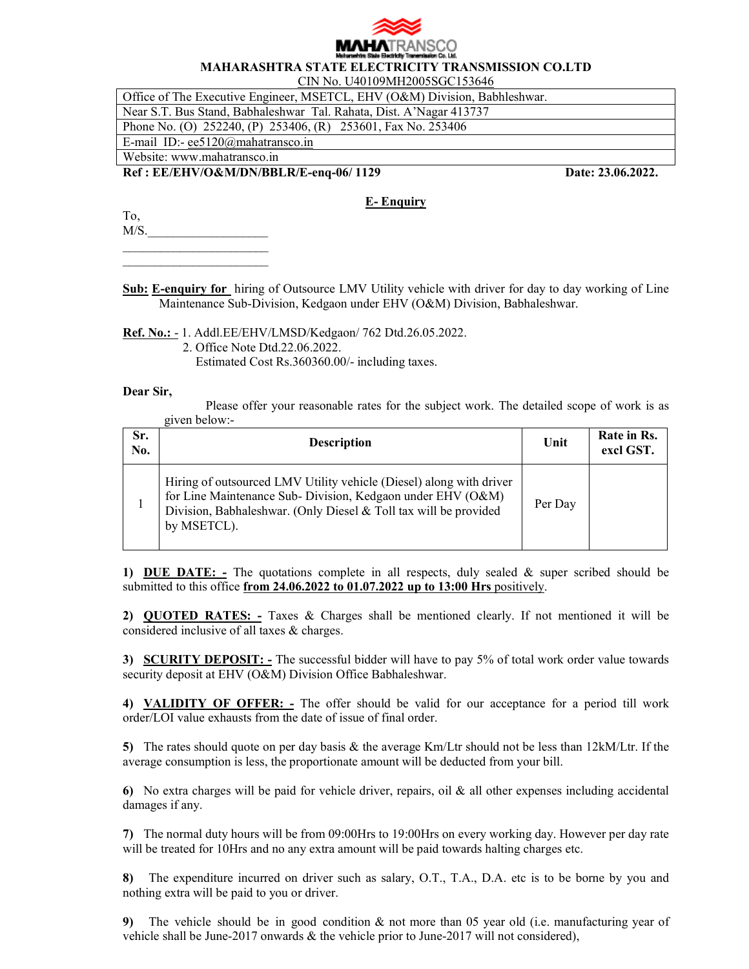

## **MAHARASHTRA STATE ELECTRICITY TRANSMISSION CO.LTD**

CIN No. U40109MH2005SGC153646

Office of The Executive Engineer, MSETCL, EHV (O&M) Division, Babhleshwar.

Near S.T. Bus Stand, Babhaleshwar Tal. Rahata, Dist. A'Nagar 413737

Phone No. (O) 252240, (P) 253406, (R) 253601, Fax No. 253406

E-mail ID:- ee5120@mahatransco.in Website: www.mahatransco.in

 $\overline{\phantom{a}}$  , which is a set of the set of the set of the set of the set of the set of the set of the set of the set of the set of the set of the set of the set of the set of the set of the set of the set of the set of th \_\_\_\_\_\_\_\_\_\_\_\_\_\_\_\_\_\_\_\_\_\_\_

**Ref : EE/EHV/O&M/DN/BBLR/E-enq-06/ 1129 Date: 23.06.2022.** 

## **E- Enquiry**

To,  $M/S$ .

**Sub: E-enquiry for** hiring of Outsource LMV Utility vehicle with driver for day to day working of Line Maintenance Sub-Division, Kedgaon under EHV (O&M) Division, Babhaleshwar.

**Ref. No.:** - 1. Addl.EE/EHV/LMSD/Kedgaon/ 762 Dtd.26.05.2022.

2. Office Note Dtd.22.06.2022.

Estimated Cost Rs.360360.00/- including taxes.

## **Dear Sir,**

Please offer your reasonable rates for the subject work. The detailed scope of work is as given below:-

| Sr.<br>No. | <b>Description</b>                                                                                                                                                                                                    | Unit    | Rate in Rs.<br>excl GST. |
|------------|-----------------------------------------------------------------------------------------------------------------------------------------------------------------------------------------------------------------------|---------|--------------------------|
|            | Hiring of outsourced LMV Utility vehicle (Diesel) along with driver<br>for Line Maintenance Sub- Division, Kedgaon under EHV (O&M)<br>Division, Babhaleshwar. (Only Diesel & Toll tax will be provided<br>by MSETCL). | Per Day |                          |

**1) DUE DATE: -** The quotations complete in all respects, duly sealed & super scribed should be submitted to this office **from 24.06.2022 to 01.07.2022 up to 13:00 Hrs** positively.

**2) QUOTED RATES: -** Taxes & Charges shall be mentioned clearly. If not mentioned it will be considered inclusive of all taxes & charges.

**3) SCURITY DEPOSIT: -** The successful bidder will have to pay 5% of total work order value towards security deposit at EHV (O&M) Division Office Babhaleshwar.

**4) VALIDITY OF OFFER: -** The offer should be valid for our acceptance for a period till work order/LOI value exhausts from the date of issue of final order.

**5)** The rates should quote on per day basis & the average Km/Ltr should not be less than 12kM/Ltr. If the average consumption is less, the proportionate amount will be deducted from your bill.

**6)** No extra charges will be paid for vehicle driver, repairs, oil & all other expenses including accidental damages if any.

**7)** The normal duty hours will be from 09:00Hrs to 19:00Hrs on every working day. However per day rate will be treated for 10Hrs and no any extra amount will be paid towards halting charges etc.

**8)** The expenditure incurred on driver such as salary, O.T., T.A., D.A. etc is to be borne by you and nothing extra will be paid to you or driver.

**9)** The vehicle should be in good condition & not more than 05 year old (i.e. manufacturing year of vehicle shall be June-2017 onwards  $&$  the vehicle prior to June-2017 will not considered),